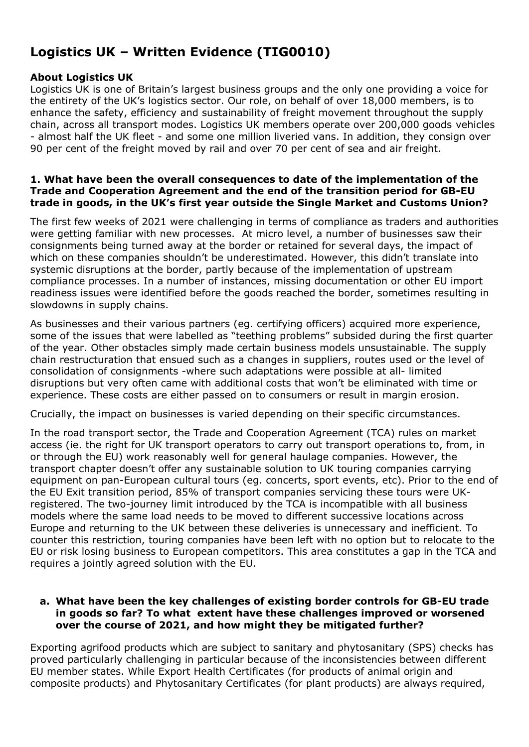# **Logistics UK – Written Evidence (TIG0010)**

# **About Logistics UK**

Logistics UK is one of Britain's largest business groups and the only one providing a voice for the entirety of the UK's logistics sector. Our role, on behalf of over 18,000 members, is to enhance the safety, efficiency and sustainability of freight movement throughout the supply chain, across all transport modes. Logistics UK members operate over 200,000 goods vehicles - almost half the UK fleet - and some one million liveried vans. In addition, they consign over 90 per cent of the freight moved by rail and over 70 per cent of sea and air freight.

# **1. What have been the overall consequences to date of the implementation of the Trade and Cooperation Agreement and the end of the transition period for GB-EU trade in goods, in the UK's first year outside the Single Market and Customs Union?**

The first few weeks of 2021 were challenging in terms of compliance as traders and authorities were getting familiar with new processes. At micro level, a number of businesses saw their consignments being turned away at the border or retained for several days, the impact of which on these companies shouldn't be underestimated. However, this didn't translate into systemic disruptions at the border, partly because of the implementation of upstream compliance processes. In a number of instances, missing documentation or other EU import readiness issues were identified before the goods reached the border, sometimes resulting in slowdowns in supply chains.

As businesses and their various partners (eg. certifying officers) acquired more experience, some of the issues that were labelled as "teething problems" subsided during the first quarter of the year. Other obstacles simply made certain business models unsustainable. The supply chain restructuration that ensued such as a changes in suppliers, routes used or the level of consolidation of consignments -where such adaptations were possible at all- limited disruptions but very often came with additional costs that won't be eliminated with time or experience. These costs are either passed on to consumers or result in margin erosion.

Crucially, the impact on businesses is varied depending on their specific circumstances.

In the road transport sector, the Trade and Cooperation Agreement (TCA) rules on market access (ie. the right for UK transport operators to carry out transport operations to, from, in or through the EU) work reasonably well for general haulage companies. However, the transport chapter doesn't offer any sustainable solution to UK touring companies carrying equipment on pan-European cultural tours (eg. concerts, sport events, etc). Prior to the end of the EU Exit transition period, 85% of transport companies servicing these tours were UKregistered. The two-journey limit introduced by the TCA is incompatible with all business models where the same load needs to be moved to different successive locations across Europe and returning to the UK between these deliveries is unnecessary and inefficient. To counter this restriction, touring companies have been left with no option but to relocate to the EU or risk losing business to European competitors. This area constitutes a gap in the TCA and requires a jointly agreed solution with the EU.

## **a. What have been the key challenges of existing border controls for GB-EU trade in goods so far? To what extent have these challenges improved or worsened over the course of 2021, and how might they be mitigated further?**

Exporting agrifood products which are subject to sanitary and phytosanitary (SPS) checks has proved particularly challenging in particular because of the inconsistencies between different EU member states. While Export Health Certificates (for products of animal origin and composite products) and Phytosanitary Certificates (for plant products) are always required,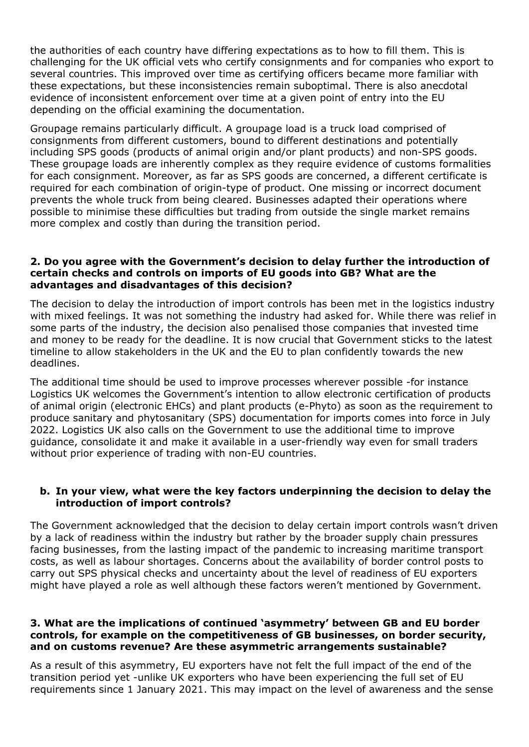the authorities of each country have differing expectations as to how to fill them. This is challenging for the UK official vets who certify consignments and for companies who export to several countries. This improved over time as certifying officers became more familiar with these expectations, but these inconsistencies remain suboptimal. There is also anecdotal evidence of inconsistent enforcement over time at a given point of entry into the EU depending on the official examining the documentation.

Groupage remains particularly difficult. A groupage load is a truck load comprised of consignments from different customers, bound to different destinations and potentially including SPS goods (products of animal origin and/or plant products) and non-SPS goods. These groupage loads are inherently complex as they require evidence of customs formalities for each consignment. Moreover, as far as SPS goods are concerned, a different certificate is required for each combination of origin-type of product. One missing or incorrect document prevents the whole truck from being cleared. Businesses adapted their operations where possible to minimise these difficulties but trading from outside the single market remains more complex and costly than during the transition period.

## **2. Do you agree with the Government's decision to delay further the introduction of certain checks and controls on imports of EU goods into GB? What are the advantages and disadvantages of this decision?**

The decision to delay the introduction of import controls has been met in the logistics industry with mixed feelings. It was not something the industry had asked for. While there was relief in some parts of the industry, the decision also penalised those companies that invested time and money to be ready for the deadline. It is now crucial that Government sticks to the latest timeline to allow stakeholders in the UK and the EU to plan confidently towards the new deadlines.

The additional time should be used to improve processes wherever possible -for instance Logistics UK welcomes the Government's intention to allow electronic certification of products of animal origin (electronic EHCs) and plant products (e-Phyto) as soon as the requirement to produce sanitary and phytosanitary (SPS) documentation for imports comes into force in July 2022. Logistics UK also calls on the Government to use the additional time to improve guidance, consolidate it and make it available in a user-friendly way even for small traders without prior experience of trading with non-EU countries.

# **b. In your view, what were the key factors underpinning the decision to delay the introduction of import controls?**

The Government acknowledged that the decision to delay certain import controls wasn't driven by a lack of readiness within the industry but rather by the broader supply chain pressures facing businesses, from the lasting impact of the pandemic to increasing maritime transport costs, as well as labour shortages. Concerns about the availability of border control posts to carry out SPS physical checks and uncertainty about the level of readiness of EU exporters might have played a role as well although these factors weren't mentioned by Government.

# **3. What are the implications of continued 'asymmetry' between GB and EU border controls, for example on the competitiveness of GB businesses, on border security, and on customs revenue? Are these asymmetric arrangements sustainable?**

As a result of this asymmetry, EU exporters have not felt the full impact of the end of the transition period yet -unlike UK exporters who have been experiencing the full set of EU requirements since 1 January 2021. This may impact on the level of awareness and the sense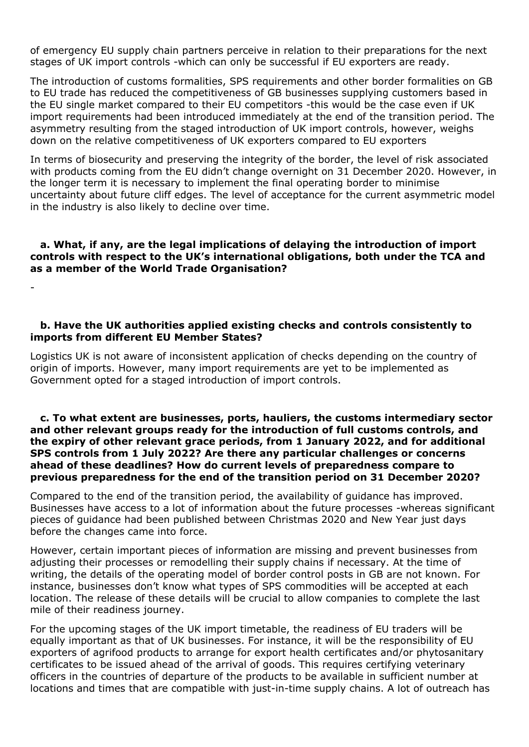of emergency EU supply chain partners perceive in relation to their preparations for the next stages of UK import controls -which can only be successful if EU exporters are ready.

The introduction of customs formalities, SPS requirements and other border formalities on GB to EU trade has reduced the competitiveness of GB businesses supplying customers based in the EU single market compared to their EU competitors -this would be the case even if UK import requirements had been introduced immediately at the end of the transition period. The asymmetry resulting from the staged introduction of UK import controls, however, weighs down on the relative competitiveness of UK exporters compared to EU exporters

In terms of biosecurity and preserving the integrity of the border, the level of risk associated with products coming from the EU didn't change overnight on 31 December 2020. However, in the longer term it is necessary to implement the final operating border to minimise uncertainty about future cliff edges. The level of acceptance for the current asymmetric model in the industry is also likely to decline over time.

#### **a. What, if any, are the legal implications of delaying the introduction of import controls with respect to the UK's international obligations, both under the TCA and as a member of the World Trade Organisation?**

-

# **b. Have the UK authorities applied existing checks and controls consistently to imports from different EU Member States?**

Logistics UK is not aware of inconsistent application of checks depending on the country of origin of imports. However, many import requirements are yet to be implemented as Government opted for a staged introduction of import controls.

#### **c. To what extent are businesses, ports, hauliers, the customs intermediary sector and other relevant groups ready for the introduction of full customs controls, and the expiry of other relevant grace periods, from 1 January 2022, and for additional SPS controls from 1 July 2022? Are there any particular challenges or concerns ahead of these deadlines? How do current levels of preparedness compare to previous preparedness for the end of the transition period on 31 December 2020?**

Compared to the end of the transition period, the availability of guidance has improved. Businesses have access to a lot of information about the future processes -whereas significant pieces of guidance had been published between Christmas 2020 and New Year just days before the changes came into force.

However, certain important pieces of information are missing and prevent businesses from adjusting their processes or remodelling their supply chains if necessary. At the time of writing, the details of the operating model of border control posts in GB are not known. For instance, businesses don't know what types of SPS commodities will be accepted at each location. The release of these details will be crucial to allow companies to complete the last mile of their readiness journey.

For the upcoming stages of the UK import timetable, the readiness of EU traders will be equally important as that of UK businesses. For instance, it will be the responsibility of EU exporters of agrifood products to arrange for export health certificates and/or phytosanitary certificates to be issued ahead of the arrival of goods. This requires certifying veterinary officers in the countries of departure of the products to be available in sufficient number at locations and times that are compatible with just-in-time supply chains. A lot of outreach has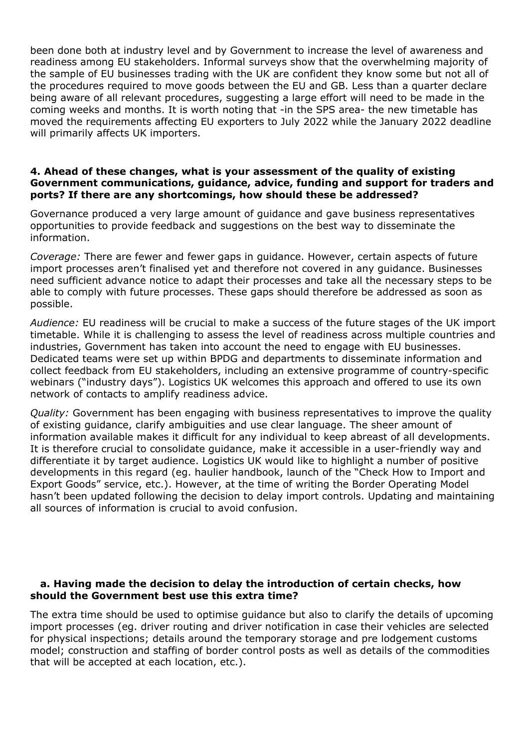been done both at industry level and by Government to increase the level of awareness and readiness among EU stakeholders. Informal surveys show that the overwhelming majority of the sample of EU businesses trading with the UK are confident they know some but not all of the procedures required to move goods between the EU and GB. Less than a quarter declare being aware of all relevant procedures, suggesting a large effort will need to be made in the coming weeks and months. It is worth noting that -in the SPS area- the new timetable has moved the requirements affecting EU exporters to July 2022 while the January 2022 deadline will primarily affects UK importers.

#### **4. Ahead of these changes, what is your assessment of the quality of existing Government communications, guidance, advice, funding and support for traders and ports? If there are any shortcomings, how should these be addressed?**

Governance produced a very large amount of guidance and gave business representatives opportunities to provide feedback and suggestions on the best way to disseminate the information.

*Coverage:* There are fewer and fewer gaps in guidance. However, certain aspects of future import processes aren't finalised yet and therefore not covered in any guidance. Businesses need sufficient advance notice to adapt their processes and take all the necessary steps to be able to comply with future processes. These gaps should therefore be addressed as soon as possible.

*Audience:* EU readiness will be crucial to make a success of the future stages of the UK import timetable. While it is challenging to assess the level of readiness across multiple countries and industries, Government has taken into account the need to engage with EU businesses. Dedicated teams were set up within BPDG and departments to disseminate information and collect feedback from EU stakeholders, including an extensive programme of country-specific webinars ("industry days"). Logistics UK welcomes this approach and offered to use its own network of contacts to amplify readiness advice.

*Quality:* Government has been engaging with business representatives to improve the quality of existing guidance, clarify ambiguities and use clear language. The sheer amount of information available makes it difficult for any individual to keep abreast of all developments. It is therefore crucial to consolidate guidance, make it accessible in a user-friendly way and differentiate it by target audience. Logistics UK would like to highlight a number of positive developments in this regard (eg. haulier handbook, launch of the "Check How to Import and Export Goods" service, etc.). However, at the time of writing the Border Operating Model hasn't been updated following the decision to delay import controls. Updating and maintaining all sources of information is crucial to avoid confusion.

## **a. Having made the decision to delay the introduction of certain checks, how should the Government best use this extra time?**

The extra time should be used to optimise guidance but also to clarify the details of upcoming import processes (eg. driver routing and driver notification in case their vehicles are selected for physical inspections; details around the temporary storage and pre lodgement customs model; construction and staffing of border control posts as well as details of the commodities that will be accepted at each location, etc.).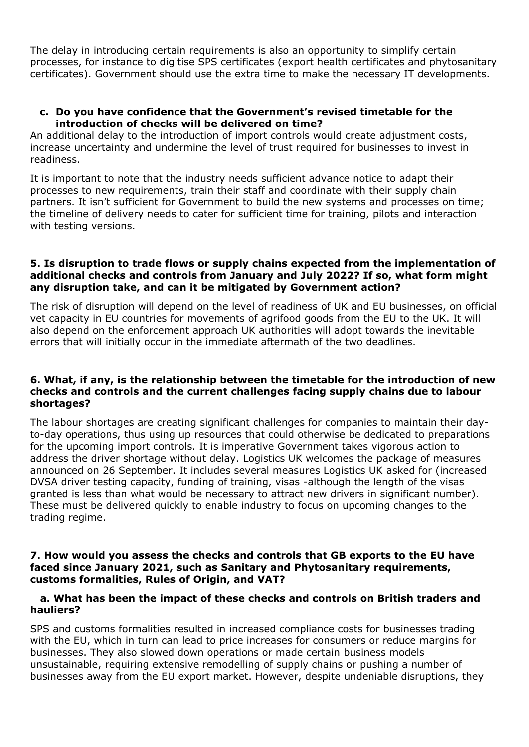The delay in introducing certain requirements is also an opportunity to simplify certain processes, for instance to digitise SPS certificates (export health certificates and phytosanitary certificates). Government should use the extra time to make the necessary IT developments.

#### **c. Do you have confidence that the Government's revised timetable for the introduction of checks will be delivered on time?**

An additional delay to the introduction of import controls would create adjustment costs, increase uncertainty and undermine the level of trust required for businesses to invest in readiness.

It is important to note that the industry needs sufficient advance notice to adapt their processes to new requirements, train their staff and coordinate with their supply chain partners. It isn't sufficient for Government to build the new systems and processes on time; the timeline of delivery needs to cater for sufficient time for training, pilots and interaction with testing versions.

## **5. Is disruption to trade flows or supply chains expected from the implementation of additional checks and controls from January and July 2022? If so, what form might any disruption take, and can it be mitigated by Government action?**

The risk of disruption will depend on the level of readiness of UK and EU businesses, on official vet capacity in EU countries for movements of agrifood goods from the EU to the UK. It will also depend on the enforcement approach UK authorities will adopt towards the inevitable errors that will initially occur in the immediate aftermath of the two deadlines.

#### **6. What, if any, is the relationship between the timetable for the introduction of new checks and controls and the current challenges facing supply chains due to labour shortages?**

The labour shortages are creating significant challenges for companies to maintain their dayto-day operations, thus using up resources that could otherwise be dedicated to preparations for the upcoming import controls. It is imperative Government takes vigorous action to address the driver shortage without delay. Logistics UK welcomes the package of measures announced on 26 September. It includes several measures Logistics UK asked for (increased DVSA driver testing capacity, funding of training, visas -although the length of the visas granted is less than what would be necessary to attract new drivers in significant number). These must be delivered quickly to enable industry to focus on upcoming changes to the trading regime.

#### **7. How would you assess the checks and controls that GB exports to the EU have faced since January 2021, such as Sanitary and Phytosanitary requirements, customs formalities, Rules of Origin, and VAT?**

## **a. What has been the impact of these checks and controls on British traders and hauliers?**

SPS and customs formalities resulted in increased compliance costs for businesses trading with the EU, which in turn can lead to price increases for consumers or reduce margins for businesses. They also slowed down operations or made certain business models unsustainable, requiring extensive remodelling of supply chains or pushing a number of businesses away from the EU export market. However, despite undeniable disruptions, they